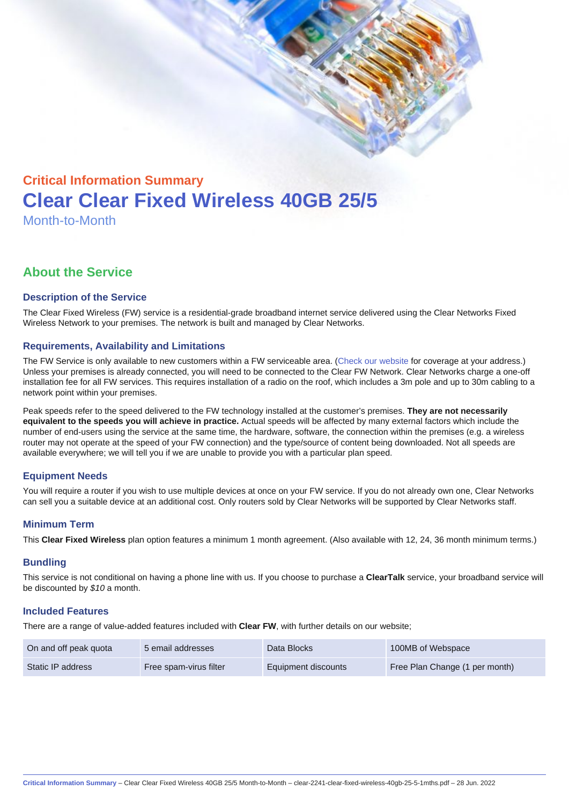# Critical Information Summary Clear Clear Fixed Wireless 40GB 25/5 Month-to-Month

# About the Service

#### Description of the Service

The Clear Fixed Wireless (FW) service is a residential-grade broadband internet service delivered using the Clear Networks Fixed Wireless Network to your premises. The network is built and managed by Clear Networks.

#### Requirements, Availability and Limitations

The FW Service is only available to new customers within a FW serviceable area. ([Check our website](https://www.clear.com.au/residential/fixed-wireless/) for coverage at your address.) Unless your premises is already connected, you will need to be connected to the Clear FW Network. Clear Networks charge a one-off installation fee for all FW services. This requires installation of a radio on the roof, which includes a 3m pole and up to 30m cabling to a network point within your premises.

Peak speeds refer to the speed delivered to the FW technology installed at the customer's premises. They are not necessarily equivalent to the speeds you will achieve in practice. Actual speeds will be affected by many external factors which include the number of end-users using the service at the same time, the hardware, software, the connection within the premises (e.g. a wireless router may not operate at the speed of your FW connection) and the type/source of content being downloaded. Not all speeds are available everywhere; we will tell you if we are unable to provide you with a particular plan speed.

# Equipment Needs

You will require a router if you wish to use multiple devices at once on your FW service. If you do not already own one, Clear Networks can sell you a suitable device at an additional cost. Only routers sold by Clear Networks will be supported by Clear Networks staff.

#### Minimum Term

This Clear Fixed Wireless plan option features a minimum 1 month agreement. (Also available with 12, 24, 36 month minimum terms.)

#### **Bundling**

This service is not conditional on having a phone line with us. If you choose to purchase a ClearTalk service, your broadband service will be discounted by \$10 a month.

#### Included Features

There are a range of value-added features included with Clear FW, with further details on our website;

| On and off peak quota | 5 email addresses      | Data Blocks         | 100MB of Webspace              |
|-----------------------|------------------------|---------------------|--------------------------------|
| Static IP address     | Free spam-virus filter | Equipment discounts | Free Plan Change (1 per month) |